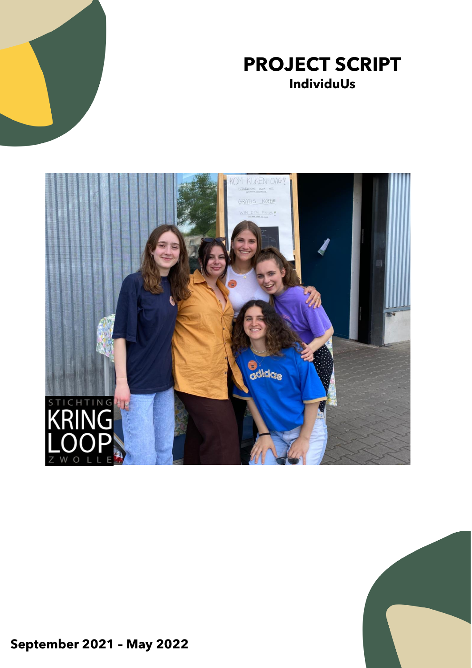







**September 2021 – May 2022**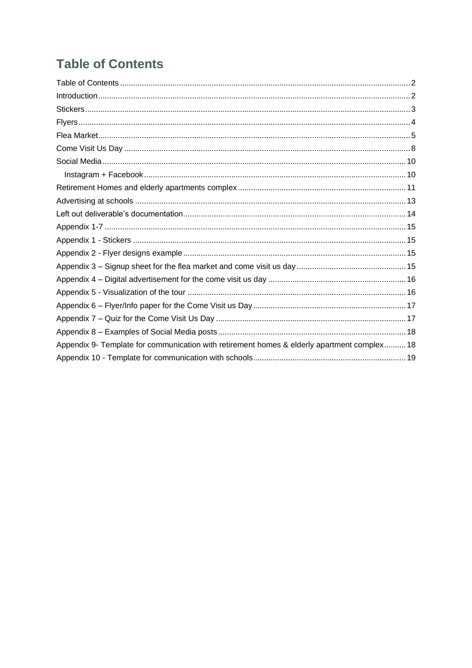# <span id="page-1-0"></span>**Table of Contents**

| Appendix 9- Template for communication with retirement homes & elderly apartment complex 18 |
|---------------------------------------------------------------------------------------------|
|                                                                                             |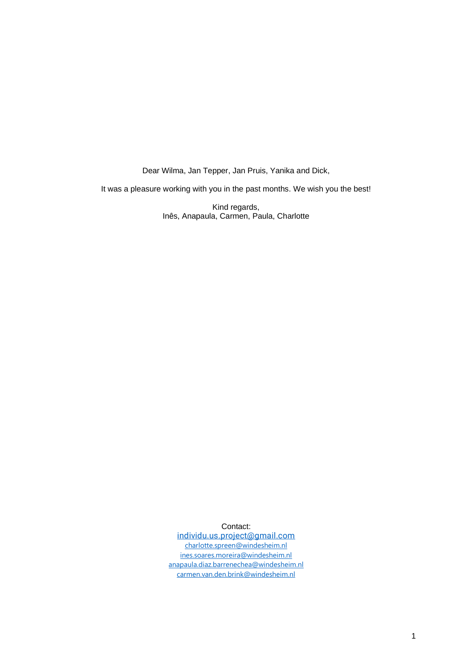Dear Wilma, Jan Tepper, Jan Pruis, Yanika and Dick,

It was a pleasure working with you in the past months. We wish you the best!

Kind regards, Inês, Anapaula, Carmen, Paula, Charlotte

Contact: [individu.us.project@gmail.com](mailto:individu.us.project@gmail.com) [charlotte.spreen@windesheim.nl](mailto:charlotte.spreen@windesheim.nl)

[ines.soares.moreira@windesheim.nl](mailto:ines.soares.moreira@windesheim.nl) [anapaula.diaz.barrenechea@windesheim.nl](mailto:anapaula.diaz.barrenechea@windesheim.nl) [carmen.van.den.brink@windesheim.nl](mailto:carmen.van.den.brink@windesheim.nl)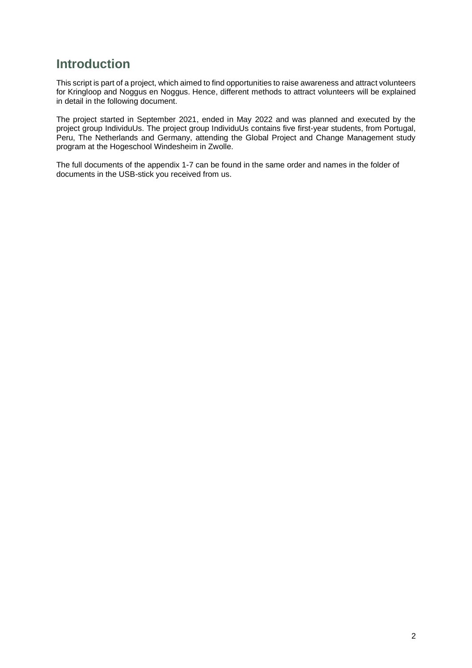# <span id="page-3-0"></span>**Introduction**

This script is part of a project, which aimed to find opportunities to raise awareness and attract volunteers for Kringloop and Noggus en Noggus. Hence, different methods to attract volunteers will be explained in detail in the following document.

The project started in September 2021, ended in May 2022 and was planned and executed by the project group IndividuUs. The project group IndividuUs contains five first-year students, from Portugal, Peru, The Netherlands and Germany, attending the Global Project and Change Management study program at the Hogeschool Windesheim in Zwolle.

The full documents of the appendix 1-7 can be found in the same order and names in the folder of documents in the USB-stick you received from us.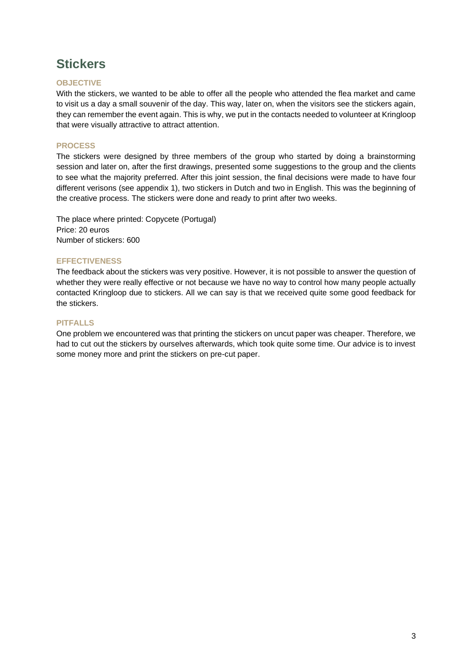# <span id="page-4-0"></span>**Stickers**

# **OBJECTIVE**

With the stickers, we wanted to be able to offer all the people who attended the flea market and came to visit us a day a small souvenir of the day. This way, later on, when the visitors see the stickers again, they can remember the event again. This is why, we put in the contacts needed to volunteer at Kringloop that were visually attractive to attract attention.

# **PROCESS**

The stickers were designed by three members of the group who started by doing a brainstorming session and later on, after the first drawings, presented some suggestions to the group and the clients to see what the majority preferred. After this joint session, the final decisions were made to have four different verisons (see appendix 1), two stickers in Dutch and two in English. This was the beginning of the creative process. The stickers were done and ready to print after two weeks.

The place where printed: Copycete (Portugal) Price: 20 euros Number of stickers: 600

# **EFFECTIVENESS**

The feedback about the stickers was very positive. However, it is not possible to answer the question of whether they were really effective or not because we have no way to control how many people actually contacted Kringloop due to stickers. All we can say is that we received quite some good feedback for the stickers.

# **PITFALLS**

One problem we encountered was that printing the stickers on uncut paper was cheaper. Therefore, we had to cut out the stickers by ourselves afterwards, which took quite some time. Our advice is to invest some money more and print the stickers on pre-cut paper.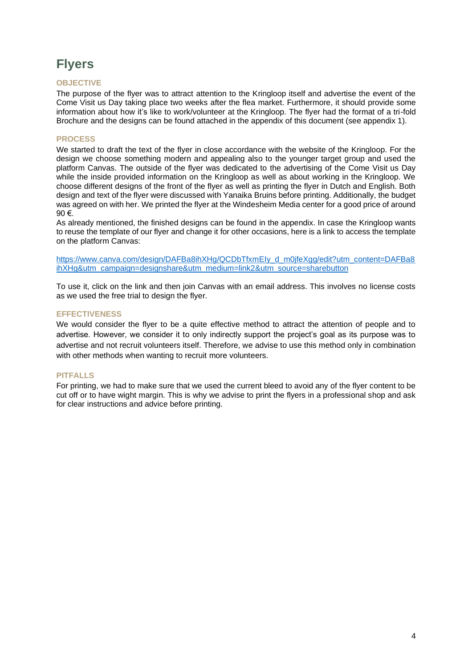# <span id="page-5-0"></span>**Flyers**

# **OBJECTIVE**

The purpose of the flyer was to attract attention to the Kringloop itself and advertise the event of the Come Visit us Day taking place two weeks after the flea market. Furthermore, it should provide some information about how it's like to work/volunteer at the Kringloop. The flyer had the format of a tri-fold Brochure and the designs can be found attached in the appendix of this document (see appendix 1).

# **PROCESS**

We started to draft the text of the flyer in close accordance with the website of the Kringloop. For the design we choose something modern and appealing also to the younger target group and used the platform Canvas. The outside of the flyer was dedicated to the advertising of the Come Visit us Day while the inside provided information on the Kringloop as well as about working in the Kringloop. We choose different designs of the front of the flyer as well as printing the flyer in Dutch and English. Both design and text of the flyer were discussed with Yanaika Bruins before printing. Additionally, the budget was agreed on with her. We printed the flyer at the Windesheim Media center for a good price of around 90 €.

As already mentioned, the finished designs can be found in the appendix. In case the Kringloop wants to reuse the template of our flyer and change it for other occasions, here is a link to access the template on the platform Canvas:

https://www.canva.com/design/DAFBa8ihXHg/QCDbTfxmEIy\_d\_m0ifeXgg/edit?utm\_content=DAFBa8 [ihXHg&utm\\_campaign=designshare&utm\\_medium=link2&utm\\_source=sharebutton](https://www.canva.com/design/DAFBa8ihXHg/QCDbTfxmEIy_d_m0jfeXgg/edit?utm_content=DAFBa8ihXHg&utm_campaign=designshare&utm_medium=link2&utm_source=sharebutton)

To use it, click on the link and then join Canvas with an email address. This involves no license costs as we used the free trial to design the flyer.

### **EFFECTIVENESS**

We would consider the flyer to be a quite effective method to attract the attention of people and to advertise. However, we consider it to only indirectly support the project's goal as its purpose was to advertise and not recruit volunteers itself. Therefore, we advise to use this method only in combination with other methods when wanting to recruit more volunteers.

### **PITFALLS**

For printing, we had to make sure that we used the current bleed to avoid any of the flyer content to be cut off or to have wight margin. This is why we advise to print the flyers in a professional shop and ask for clear instructions and advice before printing.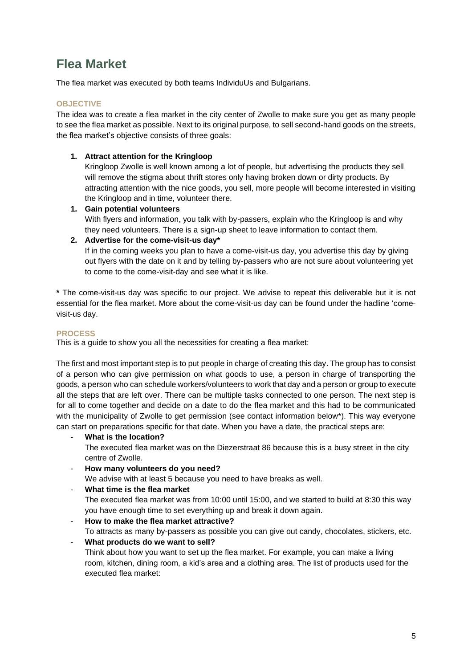# <span id="page-6-0"></span>**Flea Market**

The flea market was executed by both teams IndividuUs and Bulgarians.

# **OBJECTIVE**

The idea was to create a flea market in the city center of Zwolle to make sure you get as many people to see the flea market as possible. Next to its original purpose, to sell second-hand goods on the streets, the flea market's objective consists of three goals:

# **1. Attract attention for the Kringloop**

Kringloop Zwolle is well known among a lot of people, but advertising the products they sell will remove the stigma about thrift stores only having broken down or dirty products. By attracting attention with the nice goods, you sell, more people will become interested in visiting the Kringloop and in time, volunteer there.

**1. Gain potential volunteers**

With flyers and information, you talk with by-passers, explain who the Kringloop is and why they need volunteers. There is a sign-up sheet to leave information to contact them.

# **2. Advertise for the come-visit-us day\***

If in the coming weeks you plan to have a come-visit-us day, you advertise this day by giving out flyers with the date on it and by telling by-passers who are not sure about volunteering yet to come to the come-visit-day and see what it is like.

**\*** The come-visit-us day was specific to our project. We advise to repeat this deliverable but it is not essential for the flea market. More about the come-visit-us day can be found under the hadline 'comevisit-us day.

# **PROCESS**

This is a guide to show you all the necessities for creating a flea market:

The first and most important step is to put people in charge of creating this day. The group has to consist of a person who can give permission on what goods to use, a person in charge of transporting the goods, a person who can schedule workers/volunteers to work that day and a person or group to execute all the steps that are left over. There can be multiple tasks connected to one person. The next step is for all to come together and decide on a date to do the flea market and this had to be communicated with the municipality of Zwolle to get permission (see contact information below\*). This way everyone can start on preparations specific for that date. When you have a date, the practical steps are:

- **What is the location?**

The executed flea market was on the Diezerstraat 86 because this is a busy street in the city centre of Zwolle.

- **How many volunteers do you need?** 

We advise with at least 5 because you need to have breaks as well.

### - **What time is the flea market**

The executed flea market was from 10:00 until 15:00, and we started to build at 8:30 this way you have enough time to set everything up and break it down again.

- **How to make the flea market attractive?**

To attracts as many by-passers as possible you can give out candy, chocolates, stickers, etc.

# - **What products do we want to sell?**

Think about how you want to set up the flea market. For example, you can make a living room, kitchen, dining room, a kid's area and a clothing area. The list of products used for the executed flea market: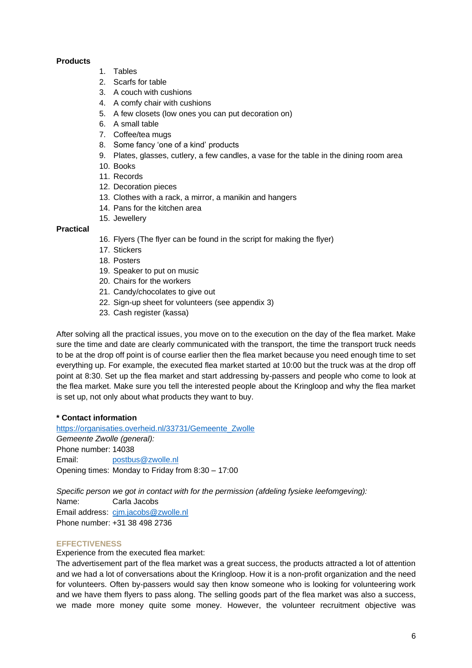### **Products**

- 1. Tables
- 2. Scarfs for table
- 3. A couch with cushions
- 4. A comfy chair with cushions
- 5. A few closets (low ones you can put decoration on)
- 6. A small table
- 7. Coffee/tea mugs
- 8. Some fancy 'one of a kind' products
- 9. Plates, glasses, cutlery, a few candles, a vase for the table in the dining room area
- 10. Books
- 11. Records
- 12. Decoration pieces
- 13. Clothes with a rack, a mirror, a manikin and hangers
- 14. Pans for the kitchen area
- 15. Jewellery

# **Practical**

- 16. Flyers (The flyer can be found in the script for making the flyer)
- 17. Stickers
- 18. Posters
- 19. Speaker to put on music
- 20. Chairs for the workers
- 21. Candy/chocolates to give out
- 22. Sign-up sheet for volunteers (see appendix 3)
- 23. Cash register (kassa)

After solving all the practical issues, you move on to the execution on the day of the flea market. Make sure the time and date are clearly communicated with the transport, the time the transport truck needs to be at the drop off point is of course earlier then the flea market because you need enough time to set everything up. For example, the executed flea market started at 10:00 but the truck was at the drop off point at 8:30. Set up the flea market and start addressing by-passers and people who come to look at the flea market. Make sure you tell the interested people about the Kringloop and why the flea market is set up, not only about what products they want to buy.

### **\* Contact information**

[https://organisaties.overheid.nl/33731/Gemeente\\_Zwolle](https://organisaties.overheid.nl/33731/Gemeente_Zwolle) *Gemeente Zwolle (general):* Phone number: 14038 Email: [postbus@zwolle.nl](mailto:postbus@zwolle.nl) Opening times: Monday to Friday from 8:30 – 17:00

*Specific person we got in contact with for the permission (afdeling fysieke leefomgeving):* Name: Carla Jacobs Email address: [cjm.jacobs@zwolle.nl](mailto:cjm.jacobs@zwolle.nl) Phone number: +31 38 498 2736

# **EFFECTIVENESS**

Experience from the executed flea market:

The advertisement part of the flea market was a great success, the products attracted a lot of attention and we had a lot of conversations about the Kringloop. How it is a non-profit organization and the need for volunteers. Often by-passers would say then know someone who is looking for volunteering work and we have them flyers to pass along. The selling goods part of the flea market was also a success, we made more money quite some money. However, the volunteer recruitment objective was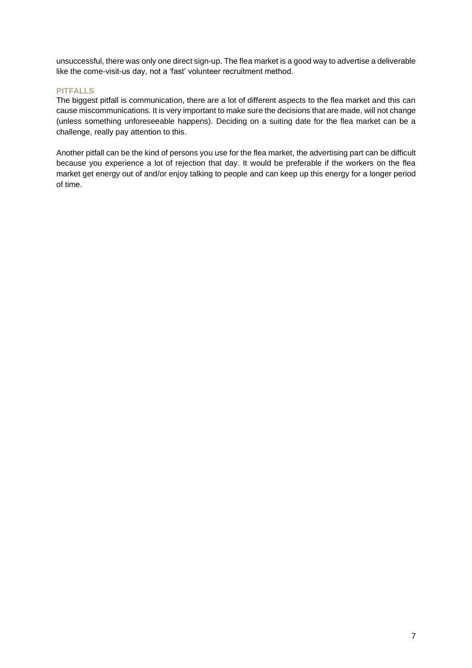unsuccessful, there was only one direct sign-up. The flea market is a good way to advertise a deliverable like the come-visit-us day, not a 'fast' volunteer recruitment method.

# **PITFALLS**

The biggest pitfall is communication, there are a lot of different aspects to the flea market and this can cause miscommunications. It is very important to make sure the decisions that are made, will not change (unless something unforeseeable happens). Deciding on a suiting date for the flea market can be a challenge, really pay attention to this.

Another pitfall can be the kind of persons you use for the flea market, the advertising part can be difficult because you experience a lot of rejection that day. It would be preferable if the workers on the flea market get energy out of and/or enjoy talking to people and can keep up this energy for a longer period of time.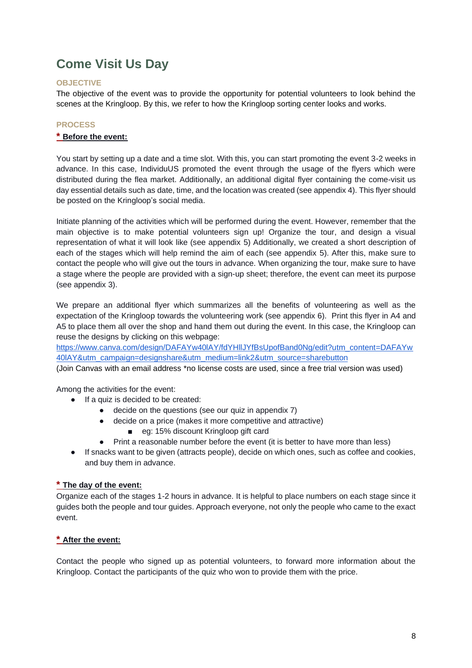# <span id="page-9-0"></span>**Come Visit Us Day**

# **OBJECTIVE**

The objective of the event was to provide the opportunity for potential volunteers to look behind the scenes at the Kringloop. By this, we refer to how the Kringloop sorting center looks and works.

# **PROCESS**

### **\* Before the event:**

You start by setting up a date and a time slot. With this, you can start promoting the event 3-2 weeks in advance. In this case, IndividuUS promoted the event through the usage of the flyers which were distributed during the flea market. Additionally, an additional digital flyer containing the come-visit us day essential details such as date, time, and the location was created (see appendix 4). This flyer should be posted on the Kringloop's social media.

Initiate planning of the activities which will be performed during the event. However, remember that the main objective is to make potential volunteers sign up! Organize the tour, and design a visual representation of what it will look like (see appendix 5) Additionally, we created a short description of each of the stages which will help remind the aim of each (see appendix 5). After this, make sure to contact the people who will give out the tours in advance. When organizing the tour, make sure to have a stage where the people are provided with a sign-up sheet; therefore, the event can meet its purpose (see appendix 3).

We prepare an additional flyer which summarizes all the benefits of volunteering as well as the expectation of the Kringloop towards the volunteering work (see appendix 6). Print this flyer in A4 and A5 to place them all over the shop and hand them out during the event. In this case, the Kringloop can reuse the designs by clicking on this webpage:

[https://www.canva.com/design/DAFAYw40lAY/fdYHllJYfBsUpofBand0Ng/edit?utm\\_content=DAFAYw](https://www.canva.com/design/DAFAYw40lAY/fdYHllJYfBsUpofBand0Ng/edit?utm_content=DAFAYw40lAY&utm_campaign=designshare&utm_medium=link2&utm_source=sharebutton) [40lAY&utm\\_campaign=designshare&utm\\_medium=link2&utm\\_source=sharebutton](https://www.canva.com/design/DAFAYw40lAY/fdYHllJYfBsUpofBand0Ng/edit?utm_content=DAFAYw40lAY&utm_campaign=designshare&utm_medium=link2&utm_source=sharebutton)

(Join Canvas with an email address \*no license costs are used, since a free trial version was used)

Among the activities for the event:

- If a quiz is decided to be created:
	- decide on the questions (see our quiz in appendix 7)
	- decide on a price (makes it more competitive and attractive)
		- eg: 15% discount Kringloop gift card
	- Print a reasonable number before the event (it is better to have more than less)
- If snacks want to be given (attracts people), decide on which ones, such as coffee and cookies, and buy them in advance.

# **\* The day of the event:**

Organize each of the stages 1-2 hours in advance. It is helpful to place numbers on each stage since it guides both the people and tour guides. Approach everyone, not only the people who came to the exact event.

# **\* After the event:**

Contact the people who signed up as potential volunteers, to forward more information about the Kringloop. Contact the participants of the quiz who won to provide them with the price.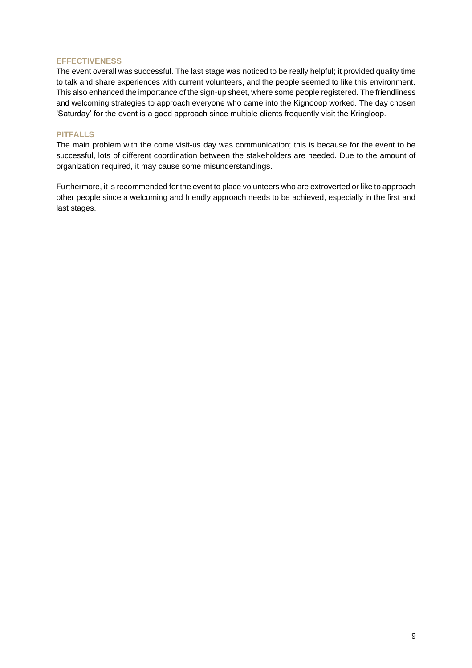#### **EFFECTIVENESS**

The event overall was successful. The last stage was noticed to be really helpful; it provided quality time to talk and share experiences with current volunteers, and the people seemed to like this environment. This also enhanced the importance of the sign-up sheet, where some people registered. The friendliness and welcoming strategies to approach everyone who came into the Kignooop worked. The day chosen 'Saturday' for the event is a good approach since multiple clients frequently visit the Kringloop.

# **PITFALLS**

The main problem with the come visit-us day was communication; this is because for the event to be successful, lots of different coordination between the stakeholders are needed. Due to the amount of organization required, it may cause some misunderstandings.

Furthermore, it is recommended for the event to place volunteers who are extroverted or like to approach other people since a welcoming and friendly approach needs to be achieved, especially in the first and last stages.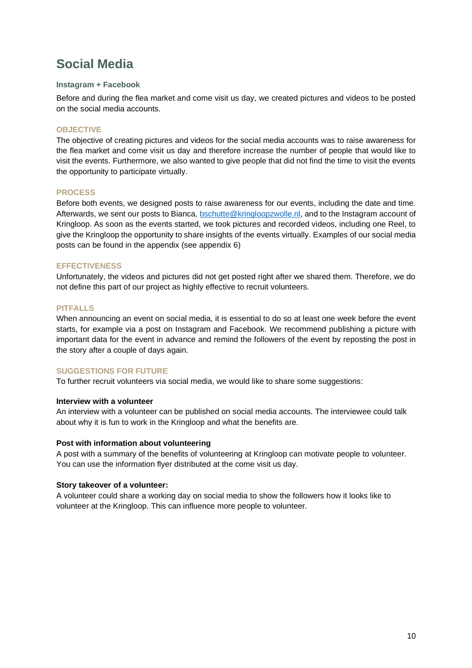# <span id="page-11-0"></span>**Social Media**

### <span id="page-11-1"></span>**Instagram + Facebook**

Before and during the flea market and come visit us day, we created pictures and videos to be posted on the social media accounts.

#### **OBJECTIVE**

The objective of creating pictures and videos for the social media accounts was to raise awareness for the flea market and come visit us day and therefore increase the number of people that would like to visit the events. Furthermore, we also wanted to give people that did not find the time to visit the events the opportunity to participate virtually.

#### **PROCESS**

Before both events, we designed posts to raise awareness for our events, including the date and time. Afterwards, we sent our posts to Bianca, [bschutte@kringloopzwolle.nl,](mailto:bschutte@kringloopzwolle.nl) and to the Instagram account of Kringloop. As soon as the events started, we took pictures and recorded videos, including one Reel, to give the Kringloop the opportunity to share insights of the events virtually. Examples of our social media posts can be found in the appendix (see appendix 6)

#### **EFFECTIVENESS**

Unfortunately, the videos and pictures did not get posted right after we shared them. Therefore, we do not define this part of our project as highly effective to recruit volunteers.

#### **PITFALLS**

When announcing an event on social media, it is essential to do so at least one week before the event starts, for example via a post on Instagram and Facebook. We recommend publishing a picture with important data for the event in advance and remind the followers of the event by reposting the post in the story after a couple of days again.

### **SUGGESTIONS FOR FUTURE**

To further recruit volunteers via social media, we would like to share some suggestions:

#### **Interview with a volunteer**

An interview with a volunteer can be published on social media accounts. The interviewee could talk about why it is fun to work in the Kringloop and what the benefits are.

#### **Post with information about volunteering**

A post with a summary of the benefits of volunteering at Kringloop can motivate people to volunteer. You can use the information flyer distributed at the come visit us day.

#### **Story takeover of a volunteer:**

A volunteer could share a working day on social media to show the followers how it looks like to volunteer at the Kringloop. This can influence more people to volunteer.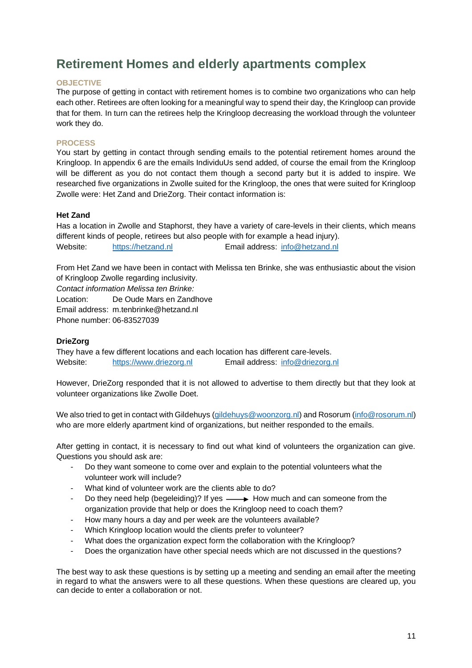# <span id="page-12-0"></span>**Retirement Homes and elderly apartments complex**

# **OBJECTIVE**

The purpose of getting in contact with retirement homes is to combine two organizations who can help each other. Retirees are often looking for a meaningful way to spend their day, the Kringloop can provide that for them. In turn can the retirees help the Kringloop decreasing the workload through the volunteer work they do.

# **PROCESS**

You start by getting in contact through sending emails to the potential retirement homes around the Kringloop. In appendix 6 are the emails IndividuUs send added, of course the email from the Kringloop will be different as you do not contact them though a second party but it is added to inspire. We researched five organizations in Zwolle suited for the Kringloop, the ones that were suited for Kringloop Zwolle were: Het Zand and DrieZorg. Their contact information is:

### **Het Zand**

Has a location in Zwolle and Staphorst, they have a variety of care-levels in their clients, which means different kinds of people, retirees but also people with for example a head injury). Website: [https://hetzand.nl](https://hetzand.nl/) Email address: [info@hetzand.nl](mailto:info@hetzand.nl)

From Het Zand we have been in contact with Melissa ten Brinke, she was enthusiastic about the vision of Kringloop Zwolle regarding inclusivity.

*Contact information Melissa ten Brinke:*

Location: De Oude Mars en Zandhove

Email address: m.tenbrinke@hetzand.nl

Phone number: 06-83527039

# **DrieZorg**

They have a few different locations and each location has different care-levels. Website: [https://www.driezorg.nl](https://www.driezorg.nl/) Email address: [info@driezorg.nl](mailto:info@driezorg.nl)

However, DrieZorg responded that it is not allowed to advertise to them directly but that they look at volunteer organizations like Zwolle Doet.

We also tried to get in contact with Gildehuys [\(gildehuys@woonzorg.nl\)](mailto:gildehuys@woonzorg.nl) and Rosorum [\(info@rosorum.nl\)](mailto:info@rosorum.nl) who are more elderly apartment kind of organizations, but neither responded to the emails.

After getting in contact, it is necessary to find out what kind of volunteers the organization can give. Questions you should ask are:

- Do they want someone to come over and explain to the potential volunteers what the volunteer work will include?
- What kind of volunteer work are the clients able to do?
- Do they need help (begeleiding)? If yes  $\longrightarrow$  How much and can someone from the organization provide that help or does the Kringloop need to coach them?
- How many hours a day and per week are the volunteers available?
- Which Kringloop location would the clients prefer to volunteer?
- What does the organization expect form the collaboration with the Kringloop?
- Does the organization have other special needs which are not discussed in the questions?

The best way to ask these questions is by setting up a meeting and sending an email after the meeting in regard to what the answers were to all these questions. When these questions are cleared up, you can decide to enter a collaboration or not.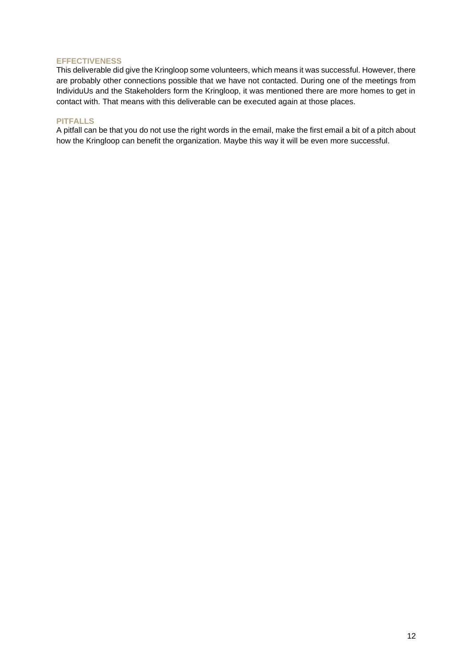#### **EFFECTIVENESS**

This deliverable did give the Kringloop some volunteers, which means it was successful. However, there are probably other connections possible that we have not contacted. During one of the meetings from IndividuUs and the Stakeholders form the Kringloop, it was mentioned there are more homes to get in contact with. That means with this deliverable can be executed again at those places.

#### **PITFALLS**

A pitfall can be that you do not use the right words in the email, make the first email a bit of a pitch about how the Kringloop can benefit the organization. Maybe this way it will be even more successful.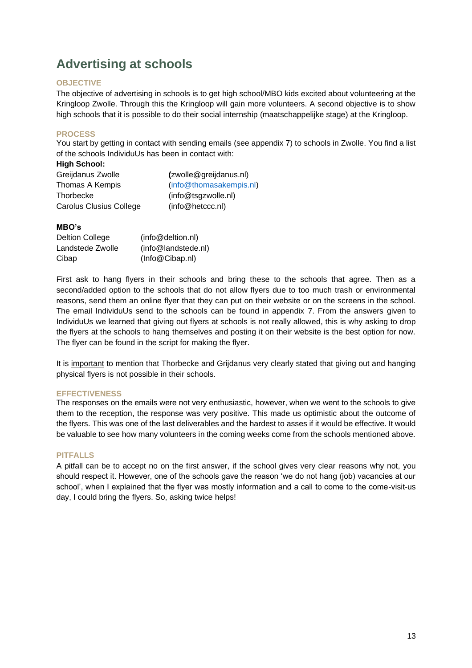# <span id="page-14-0"></span>**Advertising at schools**

# **OBJECTIVE**

The objective of advertising in schools is to get high school/MBO kids excited about volunteering at the Kringloop Zwolle. Through this the Kringloop will gain more volunteers. A second objective is to show high schools that it is possible to do their social internship (maatschappelijke stage) at the Kringloop.

# **PROCESS**

You start by getting in contact with sending emails (see appendix 7) to schools in Zwolle. You find a list of the schools IndividuUs has been in contact with:

| <b>High School:</b>     |                         |
|-------------------------|-------------------------|
| Greijdanus Zwolle       | (zwolle@greijdanus.nl)  |
| Thomas A Kempis         | (info@thomasakempis.nl) |
| Thorbecke               | (info@tsgzwolle.nl)     |
| Carolus Clusius College | (info@hetccc.nl)        |

# **MBO's**

| Deltion College  | (info@deltion.nl)   |
|------------------|---------------------|
| Landstede Zwolle | (info@landstede.nl) |
| Cibap            | (Info@Cibap.nl)     |

First ask to hang flyers in their schools and bring these to the schools that agree. Then as a second/added option to the schools that do not allow flyers due to too much trash or environmental reasons, send them an online flyer that they can put on their website or on the screens in the school. The email IndividuUs send to the schools can be found in appendix 7. From the answers given to IndividuUs we learned that giving out flyers at schools is not really allowed, this is why asking to drop the flyers at the schools to hang themselves and posting it on their website is the best option for now. The flyer can be found in the script for making the flyer.

It is important to mention that Thorbecke and Grijdanus very clearly stated that giving out and hanging physical flyers is not possible in their schools.

### **EFFECTIVENESS**

The responses on the emails were not very enthusiastic, however, when we went to the schools to give them to the reception, the response was very positive. This made us optimistic about the outcome of the flyers. This was one of the last deliverables and the hardest to asses if it would be effective. It would be valuable to see how many volunteers in the coming weeks come from the schools mentioned above.

### **PITFALLS**

A pitfall can be to accept no on the first answer, if the school gives very clear reasons why not, you should respect it. However, one of the schools gave the reason 'we do not hang (job) vacancies at our school', when I explained that the flyer was mostly information and a call to come to the come-visit-us day, I could bring the flyers. So, asking twice helps!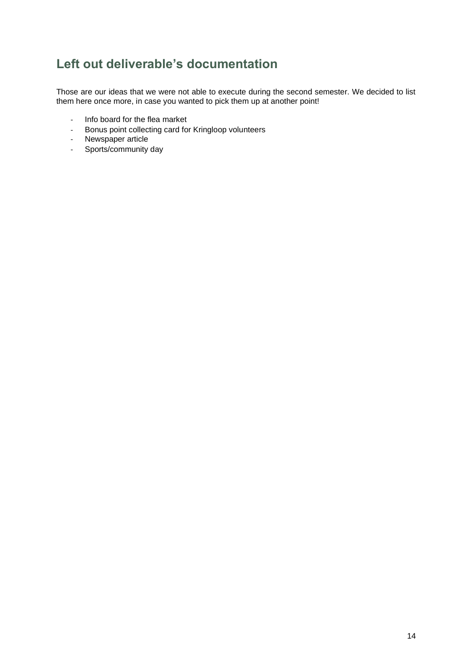# <span id="page-15-0"></span>**Left out deliverable's documentation**

Those are our ideas that we were not able to execute during the second semester. We decided to list them here once more, in case you wanted to pick them up at another point!

- Info board for the flea market
- Bonus point collecting card for Kringloop volunteers
- Newspaper article
- Sports/community day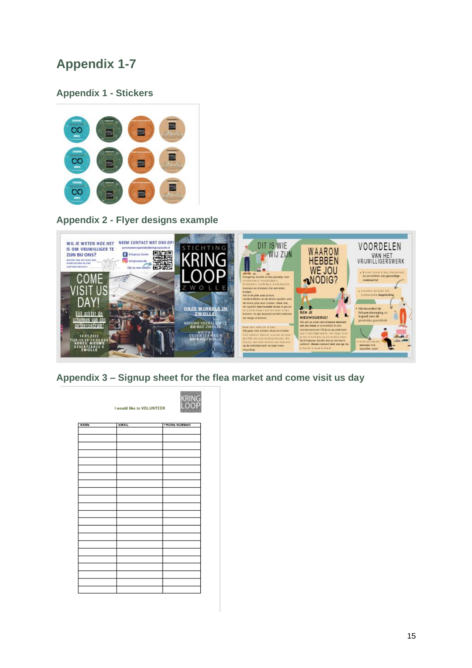# <span id="page-16-0"></span>**Appendix 1-7**

# <span id="page-16-1"></span>**Appendix 1 - Stickers**



<span id="page-16-2"></span>**Appendix 2 - Flyer designs example** 



<span id="page-16-3"></span>**Appendix 3 – Signup sheet for the flea market and come visit us day** 

| <b>KRING</b><br>I would like to VOLUNTEER |              |                      |  |
|-------------------------------------------|--------------|----------------------|--|
| <b>NAME</b>                               | <b>EMAIL</b> | <b>I'MONE NUMBER</b> |  |
|                                           |              |                      |  |
|                                           |              |                      |  |
|                                           |              |                      |  |
|                                           |              |                      |  |
|                                           |              |                      |  |
|                                           |              |                      |  |
|                                           |              |                      |  |
|                                           |              |                      |  |
|                                           |              |                      |  |
|                                           |              |                      |  |
|                                           |              |                      |  |
|                                           |              |                      |  |
|                                           |              |                      |  |
|                                           |              |                      |  |
|                                           |              |                      |  |
|                                           |              |                      |  |
|                                           |              |                      |  |
|                                           |              |                      |  |
|                                           |              |                      |  |
|                                           |              |                      |  |
|                                           |              |                      |  |
|                                           |              |                      |  |
|                                           |              |                      |  |
|                                           |              |                      |  |
|                                           |              |                      |  |
|                                           |              |                      |  |
|                                           |              |                      |  |
|                                           |              |                      |  |
|                                           |              |                      |  |
|                                           |              |                      |  |
|                                           |              |                      |  |
|                                           |              |                      |  |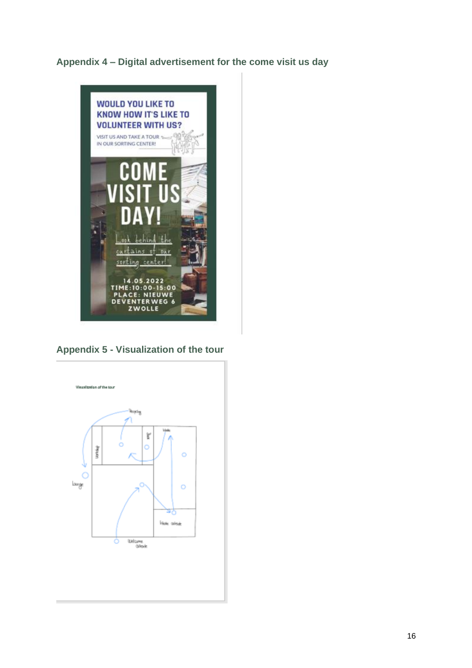<span id="page-17-0"></span>**Appendix 4 – Digital advertisement for the come visit us day** 



**Appendix 5 - Visualization of the tour**

<span id="page-17-1"></span>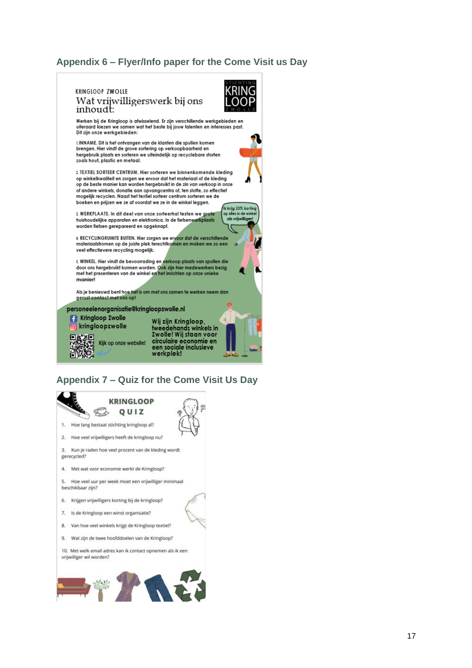# <span id="page-18-0"></span>**Appendix 6 – Flyer/Info paper for the Come Visit us Day**



# <span id="page-18-1"></span>**Appendix 7 – Quiz for the Come Visit Us Day**

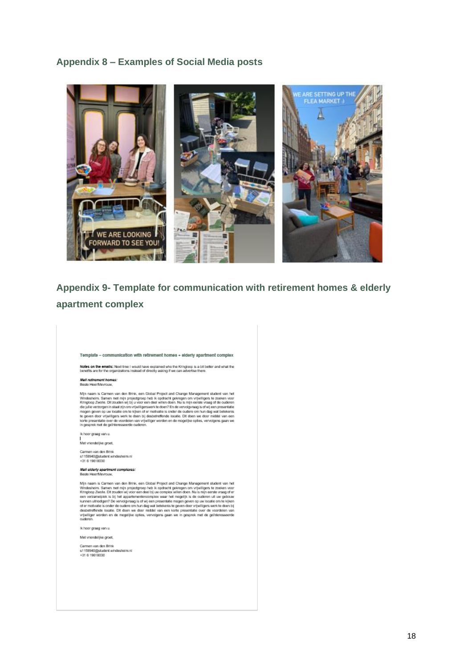# <span id="page-19-0"></span>**Appendix 8 – Examples of Social Media posts**



# <span id="page-19-1"></span>**Appendix 9- Template for communication with retirement homes & elderly apartment complex**